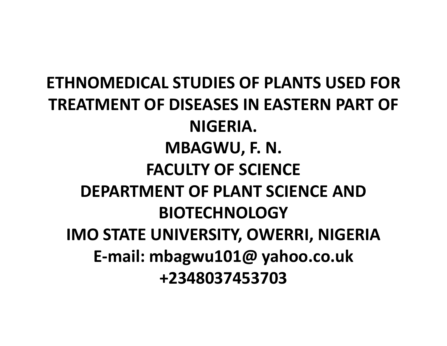ETHNOMEDICAL STUDIES OF PLANTS USED FOR TREATMENT OF DISEASES IN EASTERN PART OF NIGERIA.MBAGWU, F. N.FACULTY OF SCIENCE DEPARTMENT OF PLANT SCIENCE AND BIOTECHNOLOGY IMO STATE UNIVERSITY, OWERRI, NIGERIAE-mail: mbagwu101@ yahoo.co.uk+2348037453703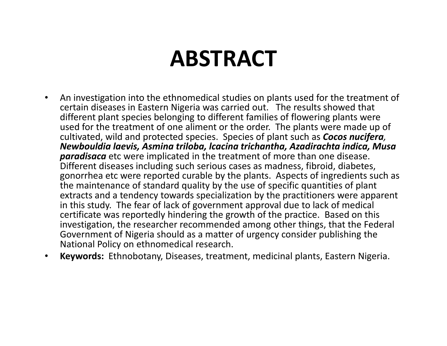# ABSTRACT

- $\bullet$  An investigation into the ethnomedical studies on plants used for the treatment of certain diseases in Eastern Nigeria was carried out. The results showed that different plant species belonging to different families of flowering plants were used for the treatment of one aliment or the order. The plants were made up of cultivated, wild and protected species. Species of plant such as **Cocos nucifera**, Newbouldia laevis, Asmina triloba, lcacina trichantha, Azadirachta indica, Musa **paradisaca** etc were implicated in the treatment of more than one disease. Different diseases including such serious cases as madness, fibroid, diabetes, gonorrhea etc were reported curable by the plants. Aspects of ingredients such as the maintenance of standard quality by the use of specific quantities of plant extracts and a tendency towards specialization by the practitioners were apparent in this study. The fear of lack of government approval due to lack of medical certificate was reportedly hindering the growth of the practice. Based on this investigation, the researcher recommended among other things, that the Federal Government of Nigeria should as a matter of urgency consider publishing the National Policy on ethnomedical research.
- •Keywords: Ethnobotany, Diseases, treatment, medicinal plants, Eastern Nigeria.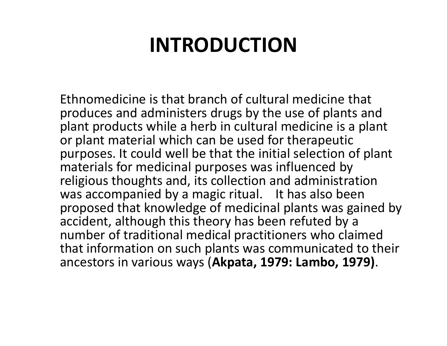## INTRODUCTION

Ethnomedicine is that branch of cultural medicine that produces and administers drugs by the use of plants and plant products while a herb in cultural medicine is a plant or plant material which can be used for therapeutic purposes. It could well be that the initial selection of plant materials for medicinal purposes was influenced by religious thoughts and, its collection and administration was accompanied by a magic ritual. It has also been proposed that knowledge of medicinal plants was gained by accident, although this theory has been refuted by a number of traditional medical practitioners who claimed that information on such plants was communicated to their ancestors in various ways (Akpata, 1979: Lambo, 1979).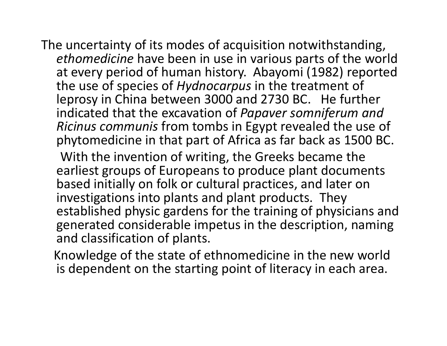The uncertainty of its modes of acquisition notwithstanding, ethomedicine have been in use in various parts of the world at every period of human history. Abayomi (1982) reported the use of species of Hydnocarpus in the treatment of leprosy in China between 3000 and 2730 BC. He further indicated that the excavation of Papaver somniferum and Ricinus communis from tombs in Egypt revealed the use of phytomedicine in that part of Africa as far back as 1500 BC.

With the invention of writing, the Greeks became the earliest groups of Europeans to produce plant documents based initially on folk or cultural practices, and later on investigations into plants and plant products. They established physic gardens for the training of physicians and generated considerable impetus in the description, naming and classification of plants.

Knowledge of the state of ethnomedicine in the new world is dependent on the starting point of literacy in each area.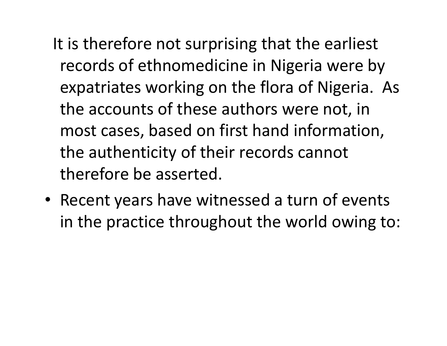- It is therefore not surprising that the earliest records of ethnomedicine in Nigeria were by expatriates working on the flora of Nigeria. As the accounts of these authors were not, in most cases, based on first hand information, the authenticity of their records cannot therefore be asserted.
- Recent years have witnessed a turn of events in the practice throughout the world owing to: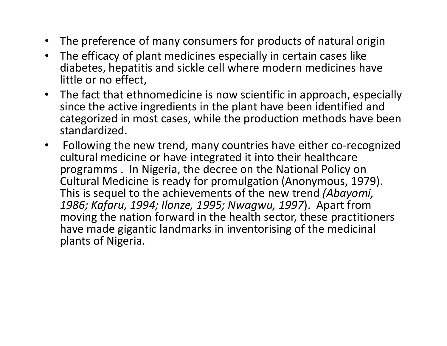- The preference of many consumers for products of natural origin
- $\bullet$  The efficacy of plant medicines especially in certain cases like diabetes, hepatitis and sickle cell where modern medicines have little or no effect,
- The fact that ethnomedicine is now scientific in approach, especially since the active ingredients in the plant have been identified and categorized in most cases, while the production methods have been standardized.
- • Following the new trend, many countries have either co-recognized cultural medicine or have integrated it into their healthcare programms . In Nigeria, the decree on the National Policy on Cultural Medicine is ready for promulgation (Anonymous, 1979). This is sequel to the achievements of the new trend (Abayomi, 1986; Kafaru, 1994; Ilonze, 1995; Nwagwu, 1997). Apart from moving the nation forward in the health sector, these practitioners have made gigantic landmarks in inventorising of the medicinal plants of Nigeria.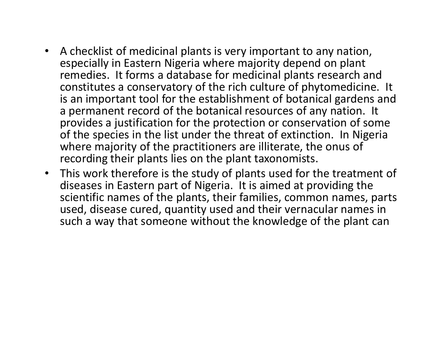- A checklist of medicinal plants is very important to any nation, especially in Eastern Nigeria where majority depend on plant remedies. It forms a database for medicinal plants research and constitutes a conservatory of the rich culture of phytomedicine. It is an important tool for the establishment of botanical gardens and a permanent record of the botanical resources of any nation. It provides a justification for the protection or conservation of some of the species in the list under the threat of extinction. In Nigeria where majority of the practitioners are illiterate, the onus of recording their plants lies on the plant taxonomists.
- $\bullet$  This work therefore is the study of plants used for the treatment of diseases in Eastern part of Nigeria. It is aimed at providing the scientific names of the plants, their families, common names, parts used, disease cured, quantity used and their vernacular names in such a way that someone without the knowledge of the plant can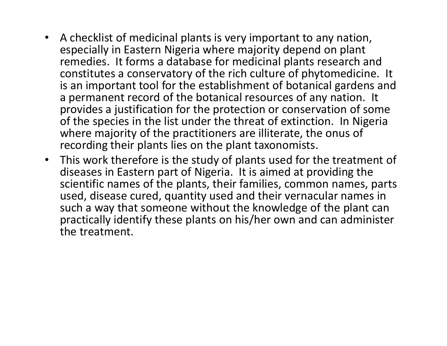- $\bullet$  A checklist of medicinal plants is very important to any nation, especially in Eastern Nigeria where majority depend on plant remedies. It forms a database for medicinal plants research and constitutes a conservatory of the rich culture of phytomedicine. It is an important tool for the establishment of botanical gardens and a permanent record of the botanical resources of any nation. It provides a justification for the protection or conservation of some of the species in the list under the threat of extinction. In Nigeria where majority of the practitioners are illiterate, the onus of recording their plants lies on the plant taxonomists.
- $\bullet$  This work therefore is the study of plants used for the treatment of diseases in Eastern part of Nigeria. It is aimed at providing the scientific names of the plants, their families, common names, parts used, disease cured, quantity used and their vernacular names in such a way that someone without the knowledge of the plant can practically identify these plants on his/her own and can administer the treatment.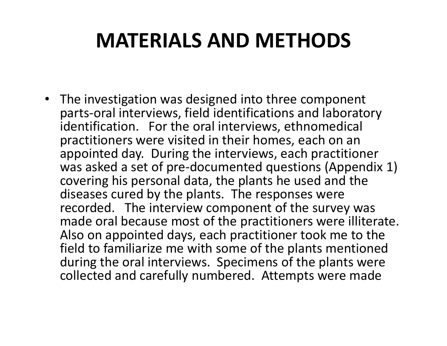## MATERIALS AND METHODS

• The investigation was designed into three component parts-oral interviews, field identifications and laboratory identification. For the oral interviews, ethnomedical practitioners were visited in their homes, each on an appointed day. During the interviews, each practitioner was asked a set of pre-documented questions (Appendix 1) covering his personal data, the plants he used and the diseases cured by the plants. The responses were recorded. The interview component of the survey was made oral because most of the practitioners were illiterate. Also on appointed days, each practitioner took me to the field to familiarize me with some of the plants mentioned during the oral interviews. Specimens of the plants were collected and carefully numbered. Attempts were made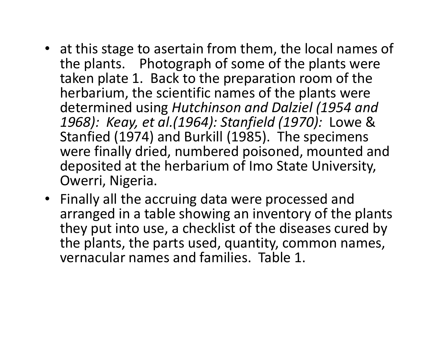- at this stage to asertain from them, the local names of the plants. Photograph of some of the plants were taken plate 1. Back to the preparation room of the herbarium, the scientific names of the plants were determined using Hutchinson and Dalziel (1954 and 1968): Keay, et al.(1964): Stanfield (1970): Lowe & Stanfied (1974) and Burkill (1985). The specimens were finally dried, numbered poisoned, mounted and deposited at the herbarium of Imo State University, Owerri, Nigeria.
- Finally all the accruing data were processed and arranged in a table showing an inventory of the plants they put into use, a checklist of the diseases cured by the plants, the parts used, quantity, common names, vernacular names and families. Table 1.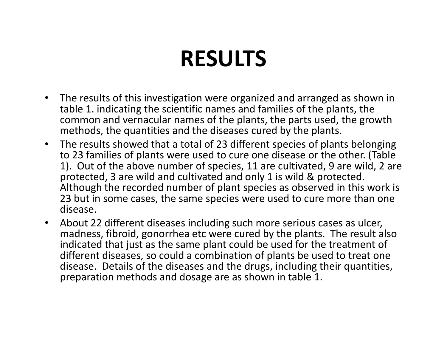# RESULTS

- • The results of this investigation were organized and arranged as shown in table 1. indicating the scientific names and families of the plants, the common and vernacular names of the plants, the parts used, the growth methods, the quantities and the diseases cured by the plants.
- • The results showed that a total of 23 different species of plants belonging to 23 families of plants were used to cure one disease or the other. (Table 1). Out of the above number of species, 11 are cultivated, 9 are wild, 2 are protected, 3 are wild and cultivated and only 1 is wild & protected. Although the recorded number of plant species as observed in this work is 23 but in some cases, the same species were used to cure more than one disease.
- $\bullet$  About 22 different diseases including such more serious cases as ulcer, madness, fibroid, gonorrhea etc were cured by the plants. The result also indicated that just as the same plant could be used for the treatment of different diseases, so could a combination of plants be used to treat one disease. Details of the diseases and the drugs, including their quantities, preparation methods and dosage are as shown in table 1.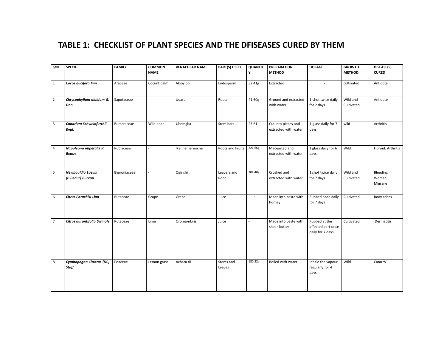### TABLE 1: CHECKLIST OF PLANT SPECIES AND THE DFISEASES CURED BY THEM

| S/N                     | <b>SPECIE</b>                            | <b>FAMILY</b> | <b>COMMON</b>  | <b>VENACULAR NAME</b> | PART(S) USED        | <b>QUANTIT</b>           | <b>PREPARATION</b>                          | <b>DOSAGE</b>                                           | <b>GROWTH</b>          | DISEASE(S)<br><b>CURED</b>              |
|-------------------------|------------------------------------------|---------------|----------------|-----------------------|---------------------|--------------------------|---------------------------------------------|---------------------------------------------------------|------------------------|-----------------------------------------|
|                         |                                          |               | <b>NAME</b>    |                       |                     | Y                        | <b>METHOD</b>                               |                                                         | <b>METHOD</b>          |                                         |
| 1                       | Cocos nucifera linn                      | Araceae       | Cocunt palm    | Akioyibo              | Endosperm           | 32.41g                   | Extracted                                   | $\overline{a}$                                          | cultivated             | Antidote                                |
| $\overline{2}$          | Chrysophyllum albidum G.<br>Don          | Sapotaceae    | $\overline{a}$ | Udara                 | Roots               | 41.60g                   | Ground and extracted<br>with water          | 1-shot twice daily<br>for 2 days                        | Wild and<br>Cultivated | Antidote                                |
| $\overline{\mathbf{3}}$ | Canarium Schweinfurthii<br>Engl.         | Burseraceae   | Wild pear      | Ubemgba               | Stem bark           | 25.61                    | Cut into pieces and<br>extracted with water | 1-glass daily for 7<br>days                             | wild                   | Arthritis                               |
| $\overline{4}$          | Napoleona imperalis P.<br>Beauv          | Rubiaceae     |                | Ikennemereoche        | Roots and Fruits    | 221.66g                  | Macearted and<br>extracted with water       | 1 glass daily for 6<br>days                             | Wild                   | Fibroid. Arthritis                      |
| 5                       | Newbouldia Laevis<br>(P.Beaur) Bureau    | Bignoniaceae  |                | Ogirishi              | Leavers and<br>Root | 204.40g                  | Crushed and<br>extracted with water         | 1 shot twice daily<br>for 7 days                        | Wild and<br>Cultivated | <b>Bleeding in</b><br>Woman,<br>Migrane |
| 6                       | Citrus Parachisi Linn                    | Rutaceae      | Grape          | Grape                 | Juice               | $\overline{\phantom{a}}$ | Made into paste with<br>horney              | Rubbed once daily<br>for 7 days                         | Cultivated             | Body aches                              |
| 7                       | Citrus aurantifolia Swingle              | Rutaceae      | Lime           | Oroma-nkirisi         | Juice               | $\overline{a}$           | Made into paste with<br>shear-butter        | Rubbed at the<br>affected part once<br>daily for 7 days | Cultivated             | Dermatitis                              |
| 8                       | Cymbopogon Citratus (DC)<br><b>Staff</b> | Poaceae       | Lemon grass    | Achara tii            | Stems and<br>Leaves | 180.32g                  | Boiled with water                           | Inhale the vapour<br>regularly for 4<br>days            | Wild                   | Catarrh                                 |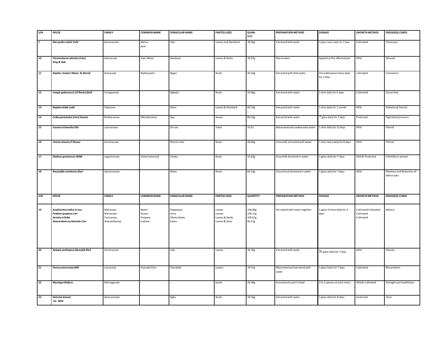| S/N      | <b>SPECIE</b>                                                                                      | <b>FAMILY</b>                                         | <b>COMMON NAME</b>                | <b>VENACULAR NAME</b>                    | PART(S) USED                                        | <b>QUAN-</b><br><b>TITY</b>             | PREPARATION METHOD                    | <b>DOSAGE</b>                            | <b>GROWTH METHOD</b>                              | <b>DISEASE(S) CURED</b>                  |
|----------|----------------------------------------------------------------------------------------------------|-------------------------------------------------------|-----------------------------------|------------------------------------------|-----------------------------------------------------|-----------------------------------------|---------------------------------------|------------------------------------------|---------------------------------------------------|------------------------------------------|
| $\alpha$ | Dacryodes edulis Vahl                                                                              | Burseraceae                                           | Native<br>pear                    | Uba                                      | Leaves and Stembark                                 | 36,56g                                  | Extracted with water                  | 1/2 glass twice daily for 7 days         | Cultivated                                        | Chest pain                               |
| 10       | Chromolaena odorata (Linn)<br><b>King &amp; Rob</b>                                                | Asteraceae                                            | Siam Weed                         | Awolowo                                  | Leaves & Roots                                      | 26.67g                                  | Marceratea                            | Applied at the affected part             | Wild                                              | Wounds                                   |
| 11       | Raphia hookeri Mann. & Wendl                                                                       | Aracaceae                                             | Raphia palm                       | Ngwo                                     | Roots                                               | 46.16g                                  | Extracted with little water           | One tablespoon twice daily<br>for 3 days | cultivated                                        | Convulsion                               |
| 12       | Ivingia gabonensis (O'Rorke) Baill                                                                 | Invingiaceae                                          |                                   | Agbadu                                   | Roots                                               | 34.66g                                  | Extracted with water                  | 1 shot daily for 6 days                  | Cultivated                                        | Gonorrhea                                |
| 13       | Baphia nitida Lodd                                                                                 | Fabaceae                                              |                                   | Abosi                                    | Leaves & Stembark                                   | 60.10g                                  | Extracted with water                  | 1 shot daily for 1 month                 | Wild                                              | Diabetes & Fibroid                       |
| 14       | Ceiba pentandra (Linn) Geartn                                                                      | Bonbacaceae                                           | Silkcottontree                    | Apu                                      | leaves                                              | 80.20g                                  | Extracted with water                  | glass daily for 7 days                   | Protected                                         | High blood pressure                      |
| 15       | Icacina trichantha Oliv                                                                            | Icacinaceae                                           |                                   | Ehi-ala                                  | Tuber                                               | 33.61                                   | Macerated and cooked with water       | 1 shot daily for 12 days                 | Wild                                              | Fibroid                                  |
| 16       | <b>Uvaria cheame P.Beauv</b>                                                                       | Annonaceae                                            |                                   | Mmimi-ohia                               | Roots                                               | 28.60g                                  | Ground & extracted with water         | 1 shot twice daily for 8 days            | Wild                                              | Fibroid                                  |
| 17       | Dialium guinieensis Willd                                                                          | Leguminosae                                           | Velvet lamarind                   | Icheku                                   | Roots                                               | 32.63g                                  | Ground & dissolved in water           | 1 glass daily for 7 days                 | Wild & Protected                                  | Infertility in women                     |
| 18       | Rauwolfia vomitoria Alzel                                                                          | Apocynaceae                                           |                                   | Akata                                    | Roots                                               | 66.24g                                  | Ground and dissolved in water         | 1 glass daily for 7 days                 | Wild                                              | Madness and Reduction of<br>labour pain. |
| S/N      | <b>SPECIE</b>                                                                                      | <b>FAMILY</b>                                         | <b>COMMON NAME</b>                | <b>VENACULAR NAME</b>                    | <b>PART(S) USED</b>                                 | <b>QUANTITY</b>                         | PREPARATION METHOD                    | <b>DOSAGE</b>                            | <b>GROWTH METHOD</b>                              | DISEASE(S) CURED                         |
| 19       | Azadirachta indica A.Juss<br>Psidium guajava Linn<br>Asmina triloba<br>Anacardium occidentale Linn | Meliaceae<br>Myrtaceae<br>Caricaceae<br>Anacardiaceae | Neem<br>Guava<br>Pawpaw<br>Cashew | Dogwojaro<br>Gova<br>Okworobeke<br>Kashu | Leaves<br>Leaves<br>Leaves & Seeds<br>Leaves & Stem | 104.00g<br>106.11g<br>100.61g<br>96.21g | All cooked with water together        | 1-glass 3-times daily for 3<br>days      | Cultivated Cultivated<br>Cultivated<br>Cultivated | Malaria                                  |
| 20       | Xylopia aethiopica (Dunal)A.Rich                                                                   | Annonaceae                                            |                                   | Uda                                      | Leaves                                              | 34.30g                                  | Extracted with water                  | 1/ <sub>2</sub> glass daily for 7 days   | Wild                                              | Obesity                                  |
| 21       | Persea americana Mill                                                                              | Lauraceae                                             | Avocado Pear                      | Uba-beke                                 | Leaves                                              | 34.97g                                  | Macerated and extracted with<br>water | 1 glass Daily for 7 days                 | Cultivated                                        | Rheumatism                               |
| 22       | Moringa Oleifera                                                                                   | Moringaceae                                           |                                   |                                          | Seeds                                               | 26.56g                                  | Ground and used in food               | 2 to 3 spoons at each mean               | Wild & cultivated                                 | Strength and healthiness                 |
| 23       | Alstonia boonei<br>De. Wild                                                                        | Apocynaceae                                           |                                   | Egbu                                     | Roots                                               | 39.16g                                  | Extracted with water                  | 1 glass daily for 8 days                 | protected                                         | Ulcer                                    |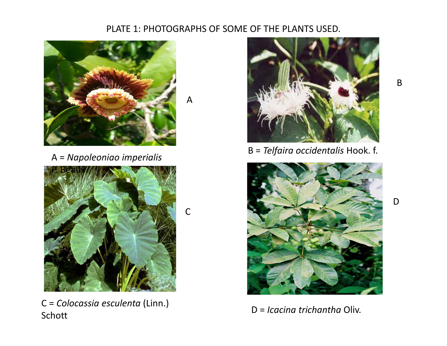## PLATE 1: PHOTOGRAPHS OF SOME OF THE PLANTS USED.

A

C





C = Colocassia esculenta (Linn.) Schott

B = Telfaira occidentalis Hook. f. A = Napoleoniao imperialis



D = Icacina trichantha Oliv.

B

D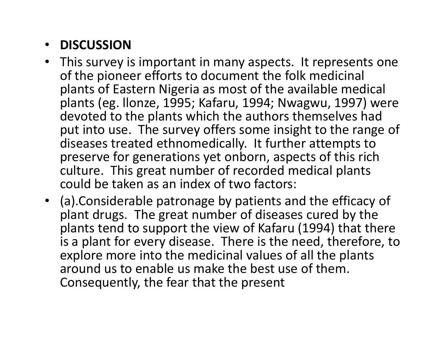## • DISCUSSION

- This survey is important in many aspects. It represents one of the pioneer efforts to document the folk medicinal plants of Eastern Nigeria as most of the available medical plants (eg. llonze, 1995; Kafaru, 1994; Nwagwu, 1997) were devoted to the plants which the authors themselves had put into use. The survey offers some insight to the range of diseases treated ethnomedically. It further attempts to preserve for generations yet onborn, aspects of this rich culture. This great number of recorded medical plants could be taken as an index of two factors:
- (a).Considerable patronage by patients and the efficacy of plant drugs. The great number of diseases cured by the plants tend to support the view of Kafaru (1994) that there is a plant for every disease. There is the need, therefore, to explore more into the medicinal values of all the plants around us to enable us make the best use of them. Consequently, the fear that the present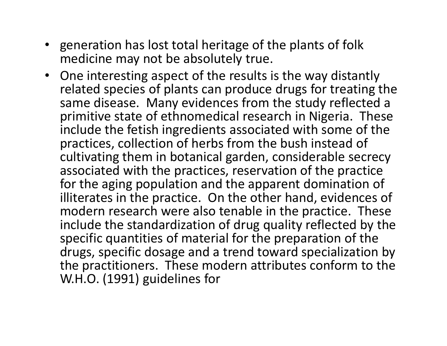- generation has lost total heritage of the plants of folk medicine may not be absolutely true.
- One interesting aspect of the results is the way distantly related species of plants can produce drugs for treating the same disease. Many evidences from the study reflected a primitive state of ethnomedical research in Nigeria. These include the fetish ingredients associated with some of the practices, collection of herbs from the bush instead of cultivating them in botanical garden, considerable secrecy associated with the practices, reservation of the practice for the aging population and the apparent domination of illiterates in the practice. On the other hand, evidences of modern research were also tenable in the practice. These include the standardization of drug quality reflected by the specific quantities of material for the preparation of the drugs, specific dosage and a trend toward specialization by the practitioners. These modern attributes conform to the W.H.O. (1991) guidelines for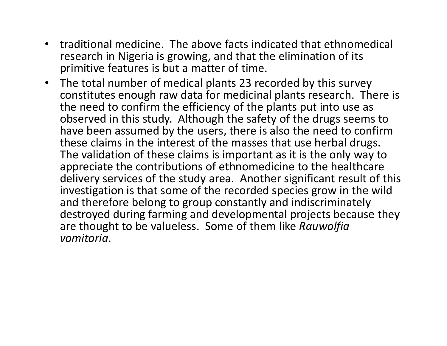- $\bullet$  traditional medicine. The above facts indicated that ethnomedical research in Nigeria is growing, and that the elimination of its primitive features is but a matter of time.
- • The total number of medical plants 23 recorded by this survey constitutes enough raw data for medicinal plants research. There is the need to confirm the efficiency of the plants put into use as observed in this study. Although the safety of the drugs seems to have been assumed by the users, there is also the need to confirm these claims in the interest of the masses that use herbal drugs. The validation of these claims is important as it is the only way to appreciate the contributions of ethnomedicine to the healthcare delivery services of the study area. Another significant result of this investigation is that some of the recorded species grow in the wild and therefore belong to group constantly and indiscriminately destroyed during farming and developmental projects because they are thought to be valueless. Some of them like Rauwolfia vomitoria.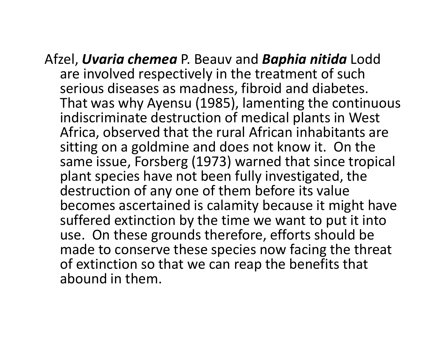Afzel, *Uvaria chemea* P. Beauv and *Baphia nitida* Lodd<br>Case invelopd respectively in the treatment of such are involved respectively in the treatment of such serious diseases as madness, fibroid and diabetes. That was why Ayensu (1985), lamenting the continuous indiscriminate destruction of medical plants in West Africa, observed that the rural African inhabitants are sitting on a goldmine and does not know it. On the same issue, Forsberg (1973) warned that since tropical plant species have not been fully investigated, the destruction of any one of them before its value becomes ascertained is calamity because it might have suffered extinction by the time we want to put it into use. On these grounds therefore, efforts should be made to conserve these species now facing the threat of extinction so that we can reap the benefits that abound in them.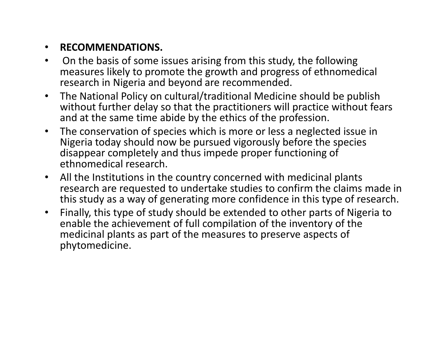#### •RECOMMENDATIONS.

- $\bullet$  On the basis of some issues arising from this study, the following measures likely to promote the growth and progress of ethnomedicalresearch in Nigeria and beyond are recommended.
- $\bullet$  The National Policy on cultural/traditional Medicine should be publish without further delay so that the practitioners will practice without fears and at the same time abide by the ethics of the profession.
- • The conservation of species which is more or less a neglected issue in Nigeria today should now be pursued vigorously before the species disappear completely and thus impede proper functioning of ethnomedical research.
- • All the Institutions in the country concerned with medicinal plants research are requested to undertake studies to confirm the claims made in this study as a way of generating more confidence in this type of research.
- $\bullet$  Finally, this type of study should be extended to other parts of Nigeria to enable the achievement of full compilation of the inventory of the medicinal plants as part of the measures to preserve aspects of phytomedicine.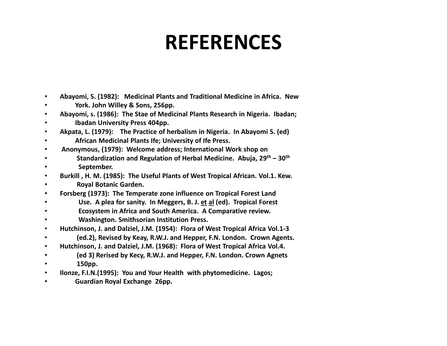## REFERENCES

- •Abayomi, S. (1982): Medicinal Plants and Traditional Medicine in Africa. New
- •York. John Willey & Sons, 256pp.
- •Abayomi, s. (1986): The Stae of Medicinal Plants Research in Nigeria. Ibadan;
- •Ibadan University Press 404pp.
- •Akpata, L. (1979): The Practice of herbalism in Nigeria. In Abayomi S. (ed)
- •African Medicinal Plants Ife; University of Ife Press.
- •Anonymous, (1979): Welcome address; International Work shop on
- •Standardization and Regulation of Herbal Medicine. Abuja, 29<sup>th</sup> – 30<sup>th</sup>
- •September.
- •Burkill , H. M. (1985): The Useful Plants of West Tropical African. Vol.1. Kew.
- •Royal Botanic Garden.
- •Forsberg (1973): The Temperate zone influence on Tropical Forest Land
- Use. A plea for sanity. In Meggers, B. J. et al (ed). Tropical Forest •
- •Ecosystem in Africa and South America. A Comparative review.
- •Washington. Smithsorian Institution Press.
- •Hutchinson, J. and Dalziel, J.M. (1954): Flora of West Tropical Africa Vol.1-3
- (ed.2), Revised by Keay, R.W.J. and Hepper, F.N. London. Crown Agents. •
- •Hutchinson, J. and Dalziel, J.M. (1968): Flora of West Tropical Africa Vol.4.
- •(ed 3) Rerised by Kecy, R.W.J. and Hepper, F.N. London. Crown Agnets
- •150pp.
- •Ilonze, F.I.N.(1995): You and Your Health with phytomedicine. Lagos;
- •Guardian Royal Exchange 26pp.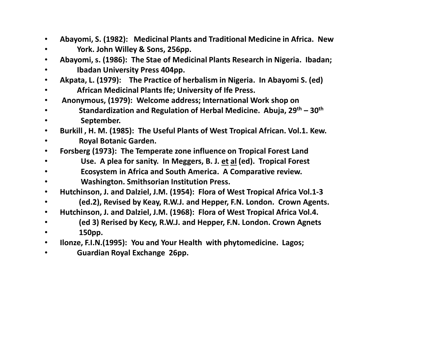- •Abayomi, S. (1982): Medicinal Plants and Traditional Medicine in Africa. New
- •York. John Willey & Sons, 256pp.
- •Abayomi, s. (1986): The Stae of Medicinal Plants Research in Nigeria. Ibadan;
- •Ibadan University Press 404pp.
- •Akpata, L. (1979): The Practice of herbalism in Nigeria. In Abayomi S. (ed)
- •African Medicinal Plants Ife; University of Ife Press.
- •Anonymous, (1979): Welcome address; International Work shop on
- •Standardization and Regulation of Herbal Medicine. Abuja,  $29<sup>th</sup> - 30<sup>th</sup>$
- •September.
- •Burkill , H. M. (1985): The Useful Plants of West Tropical African. Vol.1. Kew.
- •Royal Botanic Garden.
- •Forsberg (1973): The Temperate zone influence on Tropical Forest Land
- Use. A plea for sanity. In Meggers, B. J. <u>et al</u> (ed). Tropical Forest •
- •Ecosystem in Africa and South America. A Comparative review.
- •Washington. Smithsorian Institution Press.
- •Hutchinson, J. and Dalziel, J.M. (1954): Flora of West Tropical Africa Vol.1-3
- (ed.2), Revised by Keay, R.W.J. and Hepper, F.N. London. Crown Agents. •
- •Hutchinson, J. and Dalziel, J.M. (1968): Flora of West Tropical Africa Vol.4.
- •(ed 3) Rerised by Kecy, R.W.J. and Hepper, F.N. London. Crown Agnets
- •150pp.
- •Ilonze, F.I.N.(1995): You and Your Health with phytomedicine. Lagos;
- •Guardian Royal Exchange 26pp.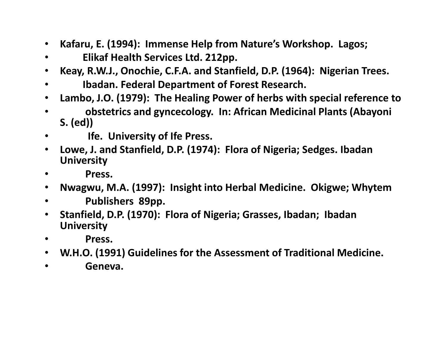- $\bullet$ Kafaru, E. (1994): Immense Help from Nature's Workshop. Lagos;
- •Elikaf Health Services Ltd. 212pp.
- $\bullet$ Keay, R.W.J., Onochie, C.F.A. and Stanfield, D.P. (1964): Nigerian Trees.
- •Ibadan. Federal Department of Forest Research.
- $\bullet$ Lambo, J.O. (1979): The Healing Power of herbs with special reference to
- • obstetrics and gyncecology. In: African Medicinal Plants (Abayoni S. (ed))
- •Ife. University of Ife Press.
- $\bullet$  Lowe, J. and Stanfield, D.P. (1974): Flora of Nigeria; Sedges. Ibadan **University**
- **Press.** •
- •Nwagwu, M.A. (1997): Insight into Herbal Medicine. Okigwe; Whytem
- $\bullet$ Publishers 89pp.
- $\bullet$  Stanfield, D.P. (1970): Flora of Nigeria; Grasses, Ibadan; Ibadan **University**
- $\bullet$ Press.
- W.H.O. (1991) Guidelines for the Assessment of Traditional Medicine.
- $\bullet$ Geneva.